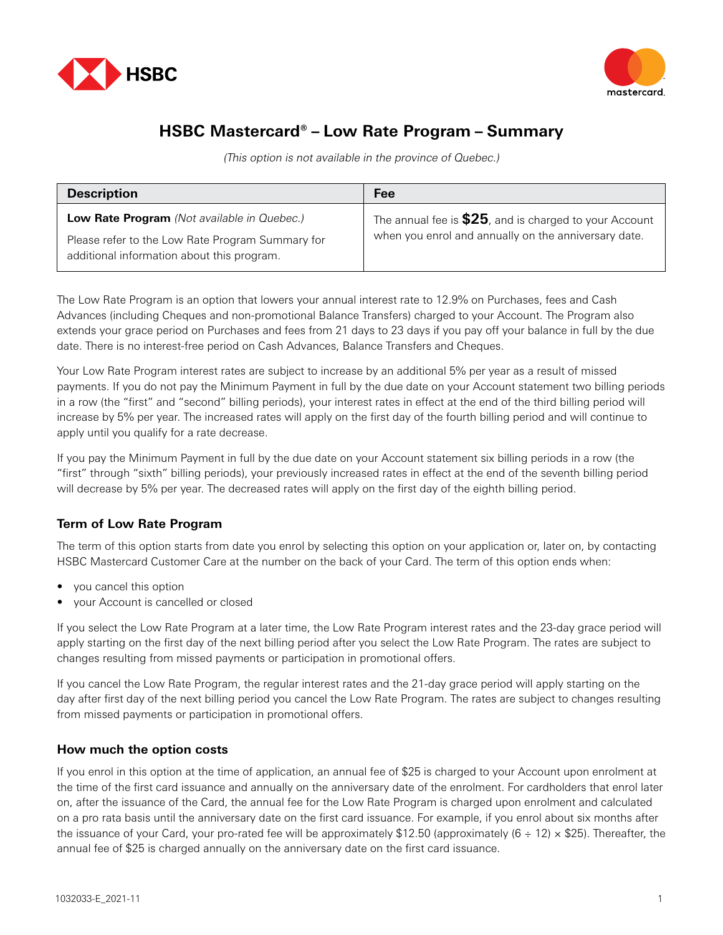



## **HSBC Mastercard® – Low Rate Program – Summary**

(This option is not available in the province of Quebec.)

| <b>Description</b>                                                                                                                            | Fee                                                                                                              |
|-----------------------------------------------------------------------------------------------------------------------------------------------|------------------------------------------------------------------------------------------------------------------|
| Low Rate Program (Not available in Quebec.)<br>Please refer to the Low Rate Program Summary for<br>additional information about this program. | The annual fee is $$25$ , and is charged to your Account<br>when you enrol and annually on the anniversary date. |

The Low Rate Program is an option that lowers your annual interest rate to 12.9% on Purchases, fees and Cash Advances (including Cheques and non-promotional Balance Transfers) charged to your Account. The Program also extends your grace period on Purchases and fees from 21 days to 23 days if you pay off your balance in full by the due date. There is no interest-free period on Cash Advances, Balance Transfers and Cheques.

Your Low Rate Program interest rates are subject to increase by an additional 5% per year as a result of missed payments. If you do not pay the Minimum Payment in full by the due date on your Account statement two billing periods in a row (the "first" and "second" billing periods), your interest rates in effect at the end of the third billing period will increase by 5% per year. The increased rates will apply on the first day of the fourth billing period and will continue to apply until you qualify for a rate decrease.

If you pay the Minimum Payment in full by the due date on your Account statement six billing periods in a row (the "first" through "sixth" billing periods), your previously increased rates in effect at the end of the seventh billing period will decrease by 5% per year. The decreased rates will apply on the first day of the eighth billing period.

## **Term of Low Rate Program**

The term of this option starts from date you enrol by selecting this option on your application or, later on, by contacting HSBC Mastercard Customer Care at the number on the back of your Card. The term of this option ends when:

- you cancel this option
- your Account is cancelled or closed

If you select the Low Rate Program at a later time, the Low Rate Program interest rates and the 23-day grace period will apply starting on the first day of the next billing period after you select the Low Rate Program. The rates are subject to changes resulting from missed payments or participation in promotional offers.

If you cancel the Low Rate Program, the regular interest rates and the 21-day grace period will apply starting on the day after first day of the next billing period you cancel the Low Rate Program. The rates are subject to changes resulting from missed payments or participation in promotional offers.

## **How much the option costs**

If you enrol in this option at the time of application, an annual fee of \$25 is charged to your Account upon enrolment at the time of the first card issuance and annually on the anniversary date of the enrolment. For cardholders that enrol later on, after the issuance of the Card, the annual fee for the Low Rate Program is charged upon enrolment and calculated on a pro rata basis until the anniversary date on the first card issuance. For example, if you enrol about six months after the issuance of your Card, your pro-rated fee will be approximately \$12.50 (approximately  $(6 \div 12) \times $25$ ). Thereafter, the annual fee of \$25 is charged annually on the anniversary date on the first card issuance.